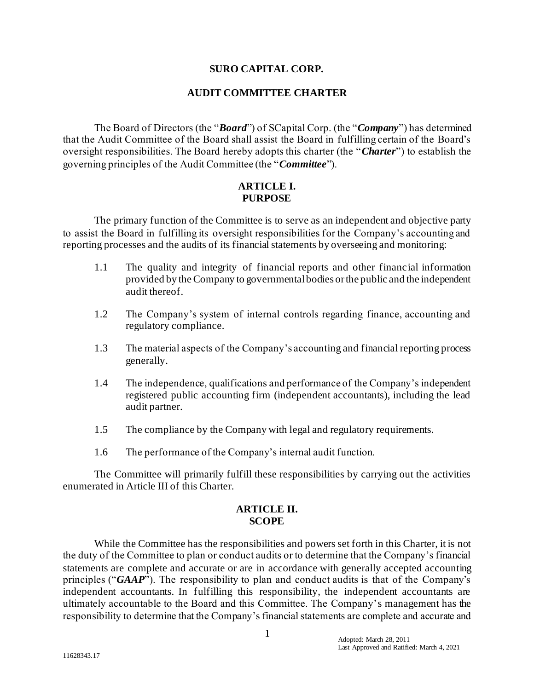## **SURO CAPITAL CORP.**

## **AUDIT COMMITTEE CHARTER**

The Board of Directors (the "*Board*") of SCapital Corp. (the "*Company*") has determined that the Audit Committee of the Board shall assist the Board in fulfilling certain of the Board's oversight responsibilities. The Board hereby adopts this charter (the "*Charter*") to establish the governing principles of the Audit Committee (the "*Committee*").

## **ARTICLE I. PURPOSE**

The primary function of the Committee is to serve as an independent and objective party to assist the Board in fulfilling its oversight responsibilities for the Company's accounting and reporting processes and the audits of its financial statements by overseeing and monitoring:

- 1.1 The quality and integrity of financial reports and other financial information provided by the Company to governmental bodies or the public and the independent audit thereof.
- 1.2 The Company's system of internal controls regarding finance, accounting and regulatory compliance.
- 1.3 The material aspects of the Company's accounting and financial reporting process generally.
- 1.4 The independence, qualifications and performance of the Company's independent registered public accounting firm (independent accountants), including the lead audit partner.
- 1.5 The compliance by the Company with legal and regulatory requirements.
- 1.6 The performance of the Company's internal audit function.

The Committee will primarily fulfill these responsibilities by carrying out the activities enumerated in Article III of this Charter.

#### **ARTICLE II. SCOPE**

While the Committee has the responsibilities and powers set forth in this Charter, it is not the duty of the Committee to plan or conduct audits or to determine that the Company's financial statements are complete and accurate or are in accordance with generally accepted accounting principles ("*GAAP*"). The responsibility to plan and conduct audits is that of the Company's independent accountants. In fulfilling this responsibility, the independent accountants are ultimately accountable to the Board and this Committee. The Company's management has the responsibility to determine that the Company's financial statements are complete and accurate and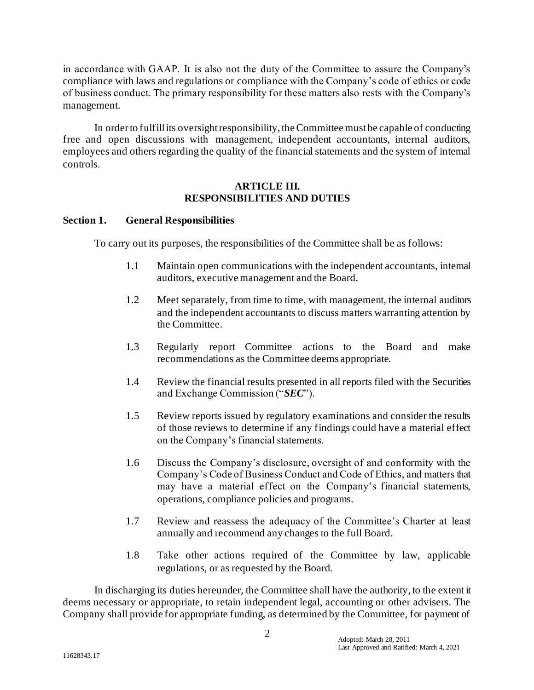in accordance with GAAP. It is also not the duty of the Committee to assure the Company's compliance with laws and regulations or compliance with the Company's code of ethics or code of business conduct. The primary responsibility for these matters also rests with the Company's management.

In order to fulfill its oversight responsibility, the Committee must be capable of conducting free and open discussions with management, independent accountants, internal auditors, employees and others regarding the quality of the financial statements and the system of internal controls.

### **ARTICLE III. RESPONSIBILITIES AND DUTIES**

## **Section 1. General Responsibilities**

To carry out its purposes, the responsibilities of the Committee shall be as follows:

- 1.1 Maintain open communications with the independent accountants, internal auditors, executive management and the Board.
- 1.2 Meet separately, from time to time, with management, the internal auditors and the independent accountants to discuss matters warranting attention by the Committee.
- 1.3 Regularly report Committee actions to the Board and make recommendations as the Committee deems appropriate.
- 1.4 Review the financial results presented in all reports filed with the Securities and Exchange Commission ("*SEC*").
- 1.5 Review reports issued by regulatory examinations and consider the results of those reviews to determine if any findings could have a material effect on the Company's financial statements.
- 1.6 Discuss the Company's disclosure, oversight of and conformity with the Company's Code of Business Conduct and Code of Ethics, and matters that may have a material effect on the Company's financial statements, operations, compliance policies and programs.
- 1.7 Review and reassess the adequacy of the Committee's Charter at least annually and recommend any changes to the full Board.
- 1.8 Take other actions required of the Committee by law, applicable regulations, or as requested by the Board.

In discharging its duties hereunder, the Committee shall have the authority, to the extent it deems necessary or appropriate, to retain independent legal, accounting or other advisers. The Company shall provide for appropriate funding, as determined by the Committee, for payment of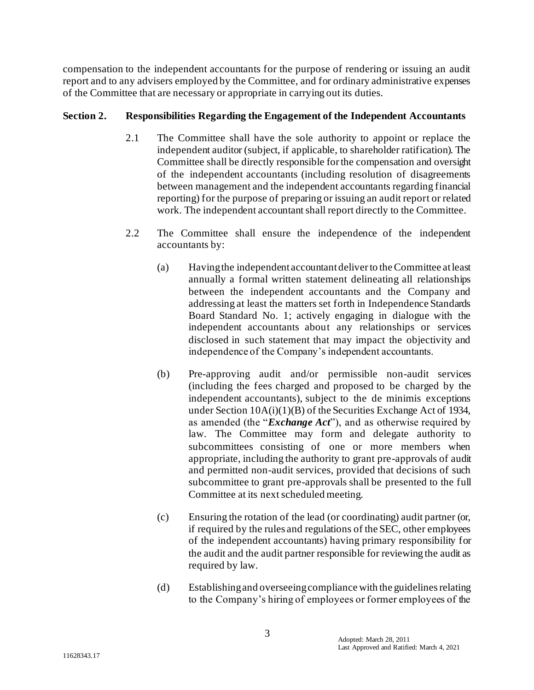compensation to the independent accountants for the purpose of rendering or issuing an audit report and to any advisers employed by the Committee, and for ordinary administrative expenses of the Committee that are necessary or appropriate in carrying out its duties.

# **Section 2. Responsibilities Regarding the Engagement of the Independent Accountants**

- 2.1 The Committee shall have the sole authority to appoint or replace the independent auditor (subject, if applicable, to shareholder ratification). The Committee shall be directly responsible for the compensation and oversight of the independent accountants (including resolution of disagreements between management and the independent accountants regarding financial reporting) for the purpose of preparing or issuing an audit report or related work. The independent accountant shall report directly to the Committee.
- 2.2 The Committee shall ensure the independence of the independent accountants by:
	- (a) Having the independent accountant deliver to the Committee at least annually a formal written statement delineating all relationships between the independent accountants and the Company and addressing at least the matters set forth in Independence Standards Board Standard No. 1; actively engaging in dialogue with the independent accountants about any relationships or services disclosed in such statement that may impact the objectivity and independence of the Company's independent accountants.
	- (b) Pre-approving audit and/or permissible non-audit services (including the fees charged and proposed to be charged by the independent accountants), subject to the de minimis exceptions under Section 10A(i)(1)(B) of the Securities Exchange Act of 1934, as amended (the "*Exchange Act*"), and as otherwise required by law. The Committee may form and delegate authority to subcommittees consisting of one or more members when appropriate, including the authority to grant pre-approvals of audit and permitted non-audit services, provided that decisions of such subcommittee to grant pre-approvals shall be presented to the full Committee at its next scheduled meeting.
	- (c) Ensuring the rotation of the lead (or coordinating) audit partner (or, if required by the rules and regulations of the SEC, other employees of the independent accountants) having primary responsibility for the audit and the audit partner responsible for reviewing the audit as required by law.
	- (d) Establishing and overseeing compliance with the guidelines relating to the Company's hiring of employees or former employees of the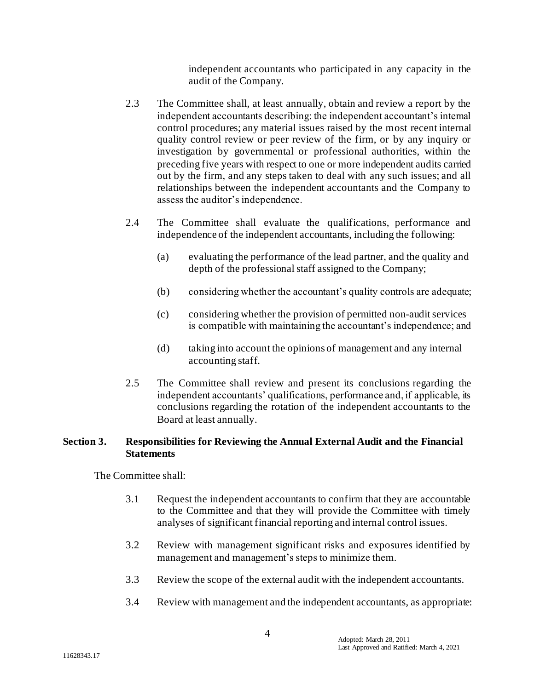independent accountants who participated in any capacity in the audit of the Company.

- 2.3 The Committee shall, at least annually, obtain and review a report by the independent accountants describing: the independent accountant's internal control procedures; any material issues raised by the most recent internal quality control review or peer review of the firm, or by any inquiry or investigation by governmental or professional authorities, within the preceding five years with respect to one or more independent audits carried out by the firm, and any steps taken to deal with any such issues; and all relationships between the independent accountants and the Company to assess the auditor's independence.
- 2.4 The Committee shall evaluate the qualifications, performance and independence of the independent accountants, including the following:
	- (a) evaluating the performance of the lead partner, and the quality and depth of the professional staff assigned to the Company;
	- (b) considering whether the accountant's quality controls are adequate;
	- (c) considering whether the provision of permitted non-audit services is compatible with maintaining the accountant's independence; and
	- (d) taking into account the opinions of management and any internal accounting staff.
- 2.5 The Committee shall review and present its conclusions regarding the independent accountants' qualifications, performance and, if applicable, its conclusions regarding the rotation of the independent accountants to the Board at least annually.

# **Section 3. Responsibilities for Reviewing the Annual External Audit and the Financial Statements**

The Committee shall:

- 3.1 Request the independent accountants to confirm that they are accountable to the Committee and that they will provide the Committee with timely analyses of significant financial reporting and internal control issues.
- 3.2 Review with management significant risks and exposures identified by management and management's steps to minimize them.
- 3.3 Review the scope of the external audit with the independent accountants.
- 3.4 Review with management and the independent accountants, as appropriate: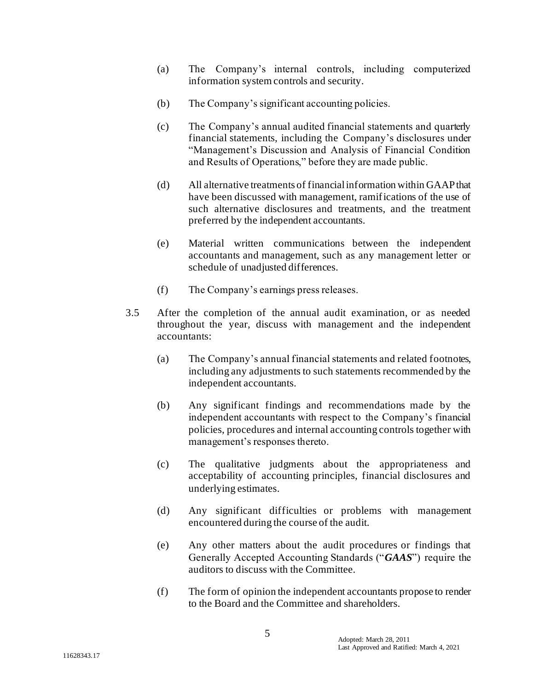- (a) The Company's internal controls, including computerized information system controls and security.
- (b) The Company's significant accounting policies.
- (c) The Company's annual audited financial statements and quarterly financial statements, including the Company's disclosures under "Management's Discussion and Analysis of Financial Condition and Results of Operations," before they are made public.
- (d) All alternative treatments of financial information within GAAP that have been discussed with management, ramifications of the use of such alternative disclosures and treatments, and the treatment preferred by the independent accountants.
- (e) Material written communications between the independent accountants and management, such as any management letter or schedule of unadjusted differences.
- (f) The Company's earnings press releases.
- 3.5 After the completion of the annual audit examination, or as needed throughout the year, discuss with management and the independent accountants:
	- (a) The Company's annual financial statements and related footnotes, including any adjustments to such statements recommended by the independent accountants.
	- (b) Any significant findings and recommendations made by the independent accountants with respect to the Company's financial policies, procedures and internal accounting controls together with management's responses thereto.
	- (c) The qualitative judgments about the appropriateness and acceptability of accounting principles, financial disclosures and underlying estimates.
	- (d) Any significant difficulties or problems with management encountered during the course of the audit.
	- (e) Any other matters about the audit procedures or findings that Generally Accepted Accounting Standards ("*GAAS*") require the auditors to discuss with the Committee.
	- (f) The form of opinion the independent accountants propose to render to the Board and the Committee and shareholders.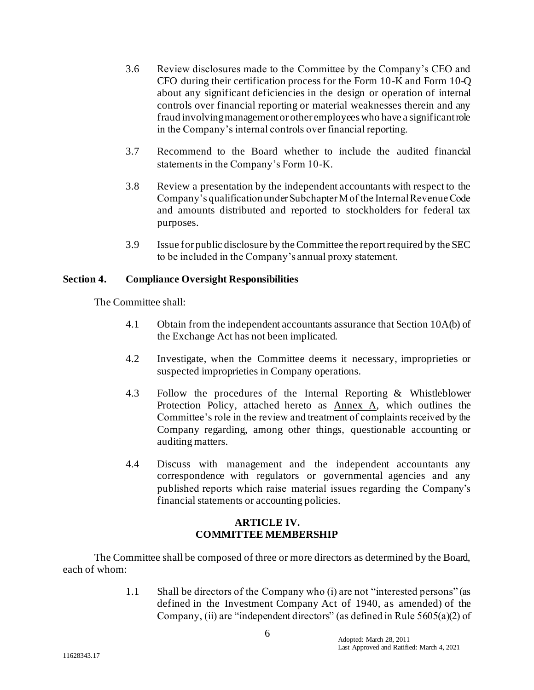- 3.6 Review disclosures made to the Committee by the Company's CEO and CFO during their certification process for the Form 10-K and Form 10-Q about any significant deficiencies in the design or operation of internal controls over financial reporting or material weaknesses therein and any fraud involving management or other employees who have a significant role in the Company's internal controls over financial reporting.
- 3.7 Recommend to the Board whether to include the audited financial statements in the Company's Form 10-K.
- 3.8 Review a presentation by the independent accountants with respect to the Company's qualification under Subchapter M of the Internal Revenue Code and amounts distributed and reported to stockholders for federal tax purposes.
- 3.9 Issue for public disclosure by the Committee the report required by the SEC to be included in the Company's annual proxy statement.

## **Section 4. Compliance Oversight Responsibilities**

The Committee shall:

- 4.1 Obtain from the independent accountants assurance that Section 10A(b) of the Exchange Act has not been implicated.
- 4.2 Investigate, when the Committee deems it necessary, improprieties or suspected improprieties in Company operations.
- 4.3 Follow the procedures of the Internal Reporting & Whistleblower Protection Policy, attached hereto as Annex A, which outlines the Committee's role in the review and treatment of complaints received by the Company regarding, among other things, questionable accounting or auditing matters.
- 4.4 Discuss with management and the independent accountants any correspondence with regulators or governmental agencies and any published reports which raise material issues regarding the Company's financial statements or accounting policies.

# **ARTICLE IV. COMMITTEE MEMBERSHIP**

The Committee shall be composed of three or more directors as determined by the Board, each of whom:

> 1.1 Shall be directors of the Company who (i) are not "interested persons" (as defined in the Investment Company Act of 1940, as amended) of the Company, (ii) are "independent directors" (as defined in Rule 5605(a)(2) of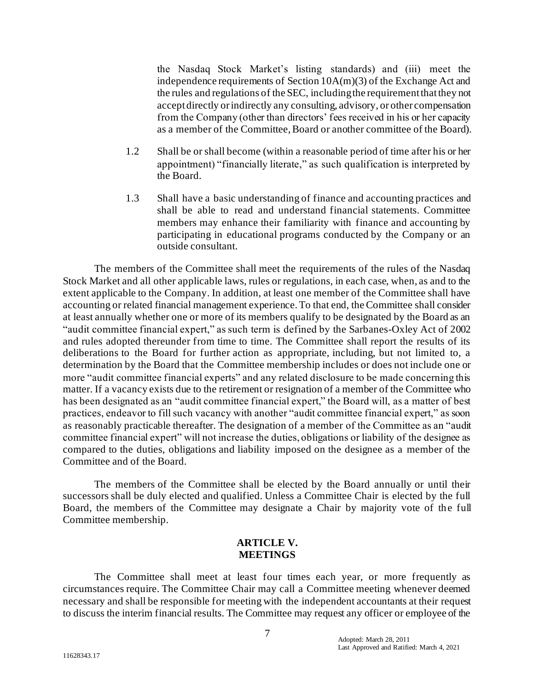the Nasdaq Stock Market's listing standards) and (iii) meet the independence requirements of Section 10A(m)(3) of the Exchange Act and the rules and regulations of the SEC, including the requirement that they not accept directly or indirectly any consulting, advisory, or other compensation from the Company (other than directors' fees received in his or her capacity as a member of the Committee, Board or another committee of the Board).

- 1.2 Shall be or shall become (within a reasonable period of time after his or her appointment) "financially literate," as such qualification is interpreted by the Board.
- 1.3 Shall have a basic understanding of finance and accounting practices and shall be able to read and understand financial statements. Committee members may enhance their familiarity with finance and accounting by participating in educational programs conducted by the Company or an outside consultant.

The members of the Committee shall meet the requirements of the rules of the Nasdaq Stock Market and all other applicable laws, rules or regulations, in each case, when, as and to the extent applicable to the Company. In addition, at least one member of the Committee shall have accounting or related financial management experience. To that end, the Committee shall consider at least annually whether one or more of its members qualify to be designated by the Board as an "audit committee financial expert," as such term is defined by the Sarbanes-Oxley Act of 2002 and rules adopted thereunder from time to time. The Committee shall report the results of its deliberations to the Board for further action as appropriate, including, but not limited to, a determination by the Board that the Committee membership includes or does not include one or more "audit committee financial experts" and any related disclosure to be made concerning this matter. If a vacancy exists due to the retirement or resignation of a member of the Committee who has been designated as an "audit committee financial expert," the Board will, as a matter of best practices, endeavor to fill such vacancy with another "audit committee financial expert," as soon as reasonably practicable thereafter. The designation of a member of the Committee as an "audit committee financial expert" will not increase the duties, obligations or liability of the designee as compared to the duties, obligations and liability imposed on the designee as a member of the Committee and of the Board.

The members of the Committee shall be elected by the Board annually or until their successors shall be duly elected and qualified. Unless a Committee Chair is elected by the full Board, the members of the Committee may designate a Chair by majority vote of the full Committee membership.

#### **ARTICLE V. MEETINGS**

The Committee shall meet at least four times each year, or more frequently as circumstances require. The Committee Chair may call a Committee meeting whenever deemed necessary and shall be responsible for meeting with the independent accountants at their request to discuss the interim financial results. The Committee may request any officer or employee of the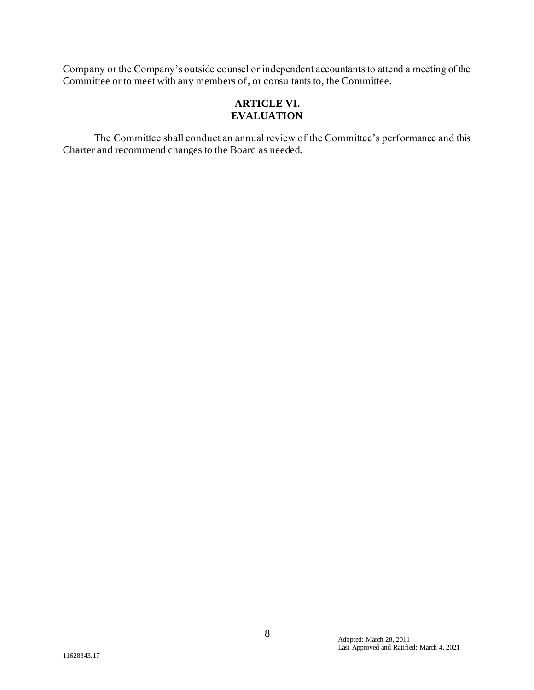Company or the Company's outside counsel or independent accountants to attend a meeting of the Committee or to meet with any members of, or consultants to, the Committee.

# **ARTICLE VI. EVALUATION**

The Committee shall conduct an annual review of the Committee's performance and this Charter and recommend changes to the Board as needed.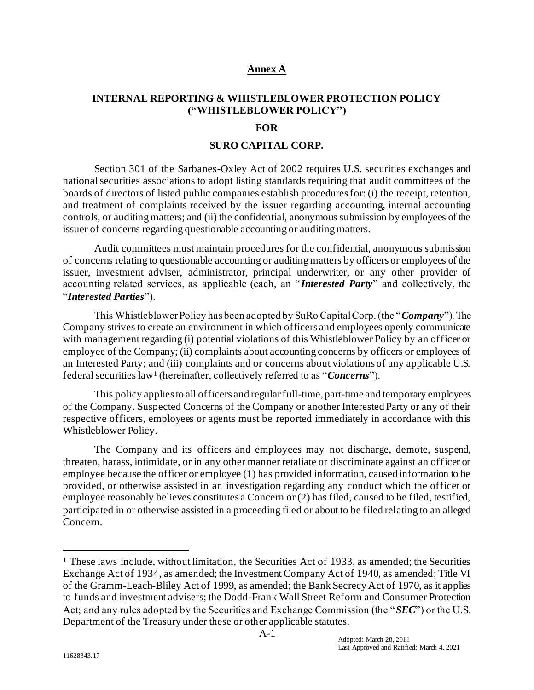## **Annex A**

## **INTERNAL REPORTING & WHISTLEBLOWER PROTECTION POLICY ("WHISTLEBLOWER POLICY")**

#### **FOR**

#### **SURO CAPITAL CORP.**

Section 301 of the Sarbanes-Oxley Act of 2002 requires U.S. securities exchanges and national securities associations to adopt listing standards requiring that audit committees of the boards of directors of listed public companies establish procedures for: (i) the receipt, retention, and treatment of complaints received by the issuer regarding accounting, internal accounting controls, or auditing matters; and (ii) the confidential, anonymous submission by employees of the issuer of concerns regarding questionable accounting or auditing matters.

Audit committees must maintain procedures for the confidential, anonymous submission of concerns relating to questionable accounting or auditing matters by officers or employees of the issuer, investment adviser, administrator, principal underwriter, or any other provider of accounting related services, as applicable (each, an "*Interested Party*" and collectively, the "*Interested Parties*").

This Whistleblower Policy has been adopted by SuRo Capital Corp. (the "*Company*"). The Company strives to create an environment in which officers and employees openly communicate with management regarding (i) potential violations of this Whistleblower Policy by an officer or employee of the Company; (ii) complaints about accounting concerns by officers or employees of an Interested Party; and (iii) complaints and or concerns about violations of any applicable U.S. federal securities law<sup>1</sup> (hereinafter, collectively referred to as "*Concerns*").

This policy applies to all officers and regular full-time, part-time and temporary employees of the Company. Suspected Concerns of the Company or another Interested Party or any of their respective officers, employees or agents must be reported immediately in accordance with this Whistleblower Policy.

The Company and its officers and employees may not discharge, demote, suspend, threaten, harass, intimidate, or in any other manner retaliate or discriminate against an officer or employee because the officer or employee (1) has provided information, caused information to be provided, or otherwise assisted in an investigation regarding any conduct which the officer or employee reasonably believes constitutes a Concern or (2) has filed, caused to be filed, testified, participated in or otherwise assisted in a proceeding filed or about to be filed relating to an alleged Concern.

<sup>&</sup>lt;sup>1</sup> These laws include, without limitation, the Securities Act of 1933, as amended; the Securities Exchange Act of 1934, as amended; the Investment Company Act of 1940, as amended; Title VI of the Gramm-Leach-Bliley Act of 1999, as amended; the Bank Secrecy Act of 1970, as it applies to funds and investment advisers; the Dodd-Frank Wall Street Reform and Consumer Protection Act; and any rules adopted by the Securities and Exchange Commission (the "*SEC*") or the U.S. Department of the Treasury under these or other applicable statutes.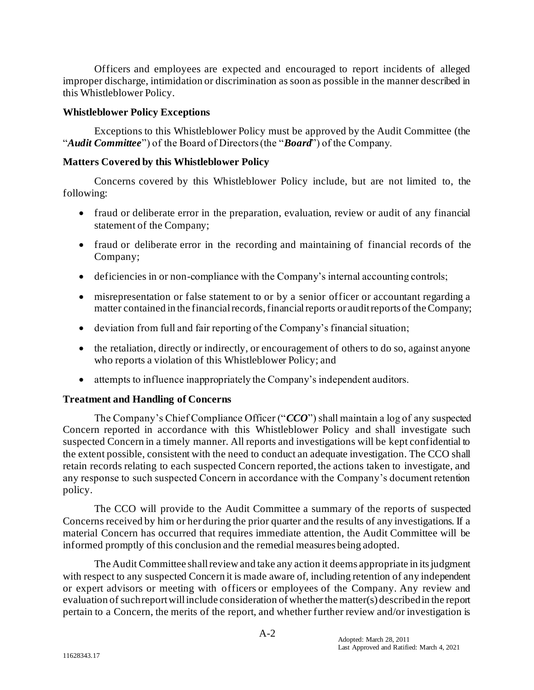Officers and employees are expected and encouraged to report incidents of alleged improper discharge, intimidation or discrimination as soon as possible in the manner described in this Whistleblower Policy.

## **Whistleblower Policy Exceptions**

Exceptions to this Whistleblower Policy must be approved by the Audit Committee (the "*Audit Committee*") of the Board of Directors (the "*Board*") of the Company.

## **Matters Covered by this Whistleblower Policy**

Concerns covered by this Whistleblower Policy include, but are not limited to, the following:

- fraud or deliberate error in the preparation, evaluation, review or audit of any financial statement of the Company;
- fraud or deliberate error in the recording and maintaining of financial records of the Company;
- deficiencies in or non-compliance with the Company's internal accounting controls;
- misrepresentation or false statement to or by a senior officer or accountant regarding a matter contained in the financial records, financial reports or audit reports of the Company;
- deviation from full and fair reporting of the Company's financial situation;
- the retaliation, directly or indirectly, or encouragement of others to do so, against anyone who reports a violation of this Whistleblower Policy; and
- attempts to influence inappropriately the Company's independent auditors.

# **Treatment and Handling of Concerns**

The Company's Chief Compliance Officer ("*CCO*") shall maintain a log of any suspected Concern reported in accordance with this Whistleblower Policy and shall investigate such suspected Concern in a timely manner. All reports and investigations will be kept confidential to the extent possible, consistent with the need to conduct an adequate investigation. The CCO shall retain records relating to each suspected Concern reported, the actions taken to investigate, and any response to such suspected Concern in accordance with the Company's document retention policy.

The CCO will provide to the Audit Committee a summary of the reports of suspected Concerns received by him or her during the prior quarter and the results of any investigations. If a material Concern has occurred that requires immediate attention, the Audit Committee will be informed promptly of this conclusion and the remedial measures being adopted.

The Audit Committee shall review and take any action it deems appropriate in its judgment with respect to any suspected Concern it is made aware of, including retention of any independent or expert advisors or meeting with officers or employees of the Company. Any review and evaluation of such report will include consideration of whether the matter(s) described in the report pertain to a Concern, the merits of the report, and whether further review and/or investigation is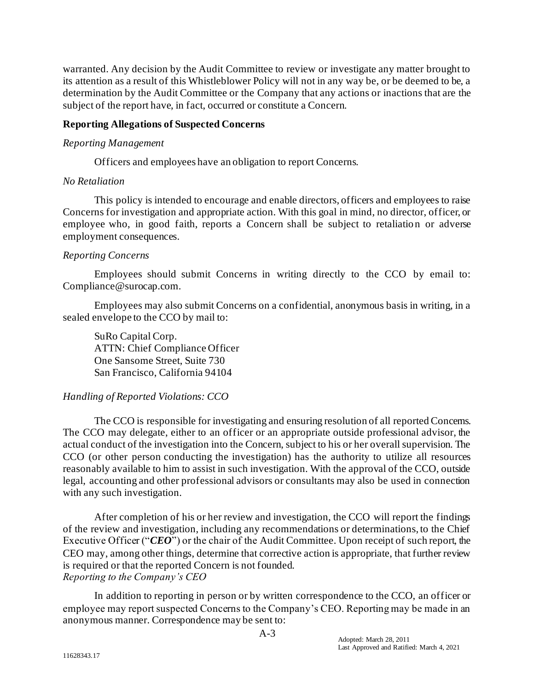warranted. Any decision by the Audit Committee to review or investigate any matter brought to its attention as a result of this Whistleblower Policy will not in any way be, or be deemed to be, a determination by the Audit Committee or the Company that any actions or inactions that are the subject of the report have, in fact, occurred or constitute a Concern.

### **Reporting Allegations of Suspected Concerns**

### *Reporting Management*

Officers and employees have an obligation to report Concerns.

## *No Retaliation*

This policy is intended to encourage and enable directors, officers and employees to raise Concerns for investigation and appropriate action. With this goal in mind, no director, officer, or employee who, in good faith, reports a Concern shall be subject to retaliation or adverse employment consequences.

## *Reporting Concerns*

Employees should submit Concerns in writing directly to the CCO by email to: Compliance@surocap.com.

Employees may also submit Concerns on a confidential, anonymous basis in writing, in a sealed envelope to the CCO by mail to:

SuRo Capital Corp. ATTN: Chief Compliance Officer One Sansome Street, Suite 730 San Francisco, California 94104

# *Handling of Reported Violations: CCO*

The CCO is responsible for investigating and ensuring resolution of all reported Concerns. The CCO may delegate, either to an officer or an appropriate outside professional advisor, the actual conduct of the investigation into the Concern, subject to his or her overall supervision. The CCO (or other person conducting the investigation) has the authority to utilize all resources reasonably available to him to assist in such investigation. With the approval of the CCO, outside legal, accounting and other professional advisors or consultants may also be used in connection with any such investigation.

After completion of his or her review and investigation, the CCO will report the findings of the review and investigation, including any recommendations or determinations, to the Chief Executive Officer ("*CEO*") or the chair of the Audit Committee. Upon receipt of such report, the CEO may, among other things, determine that corrective action is appropriate, that further review is required or that the reported Concern is not founded. *Reporting to the Company's CEO* 

In addition to reporting in person or by written correspondence to the CCO, an officer or employee may report suspected Concerns to the Company's CEO. Reporting may be made in an anonymous manner. Correspondence may be sent to: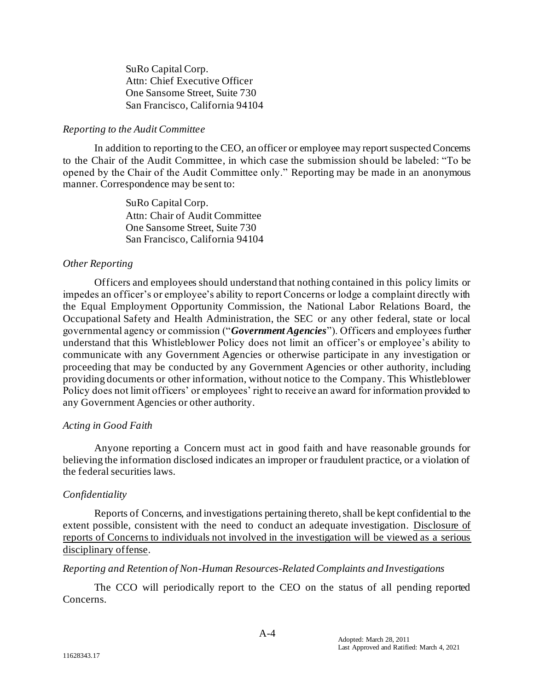SuRo Capital Corp. Attn: Chief Executive Officer One Sansome Street, Suite 730 San Francisco, California 94104

### *Reporting to the Audit Committee*

In addition to reporting to the CEO, an officer or employee may report suspected Concerns to the Chair of the Audit Committee, in which case the submission should be labeled: "To be opened by the Chair of the Audit Committee only." Reporting may be made in an anonymous manner. Correspondence may be sent to:

> SuRo Capital Corp. Attn: Chair of Audit Committee One Sansome Street, Suite 730 San Francisco, California 94104

### *Other Reporting*

Officers and employees should understand that nothing contained in this policy limits or impedes an officer's or employee's ability to report Concerns or lodge a complaint directly with the Equal Employment Opportunity Commission, the National Labor Relations Board, the Occupational Safety and Health Administration, the SEC or any other federal, state or local governmental agency or commission ("*Government Agencies*"). Officers and employees further understand that this Whistleblower Policy does not limit an officer's or employee's ability to communicate with any Government Agencies or otherwise participate in any investigation or proceeding that may be conducted by any Government Agencies or other authority, including providing documents or other information, without notice to the Company. This Whistleblower Policy does not limit officers' or employees' right to receive an award for information provided to any Government Agencies or other authority.

### *Acting in Good Faith*

Anyone reporting a Concern must act in good faith and have reasonable grounds for believing the information disclosed indicates an improper or fraudulent practice, or a violation of the federal securities laws.

# *Confidentiality*

Reports of Concerns, and investigations pertaining thereto, shall be kept confidential to the extent possible, consistent with the need to conduct an adequate investigation. Disclosure of reports of Concerns to individuals not involved in the investigation will be viewed as a serious disciplinary offense.

### *Reporting and Retention of Non-Human Resources-Related Complaints and Investigations*

The CCO will periodically report to the CEO on the status of all pending reported Concerns.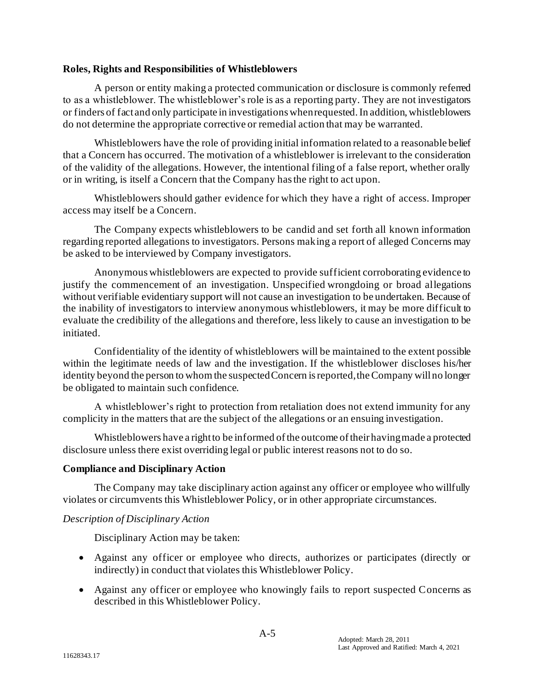## **Roles, Rights and Responsibilities of Whistleblowers**

A person or entity making a protected communication or disclosure is commonly referred to as a whistleblower. The whistleblower's role is as a reporting party. They are not investigators or finders of fact and only participate in investigations when requested. In addition, whistleblowers do not determine the appropriate corrective or remedial action that may be warranted.

Whistleblowers have the role of providing initial information related to a reasonable belief that a Concern has occurred. The motivation of a whistleblower is irrelevant to the consideration of the validity of the allegations. However, the intentional filing of a false report, whether orally or in writing, is itself a Concern that the Company has the right to act upon.

Whistleblowers should gather evidence for which they have a right of access. Improper access may itself be a Concern.

The Company expects whistleblowers to be candid and set forth all known information regarding reported allegations to investigators. Persons making a report of alleged Concerns may be asked to be interviewed by Company investigators.

Anonymous whistleblowers are expected to provide sufficient corroborating evidence to justify the commencement of an investigation. Unspecified wrongdoing or broad allegations without verifiable evidentiary support will not cause an investigation to be undertaken. Because of the inability of investigators to interview anonymous whistleblowers, it may be more difficult to evaluate the credibility of the allegations and therefore, less likely to cause an investigation to be initiated.

Confidentiality of the identity of whistleblowers will be maintained to the extent possible within the legitimate needs of law and the investigation. If the whistleblower discloses his/her identity beyond the person to whom the suspected Concern is reported, the Company will no longer be obligated to maintain such confidence.

A whistleblower's right to protection from retaliation does not extend immunity for any complicity in the matters that are the subject of the allegations or an ensuing investigation.

Whistleblowers have a right to be informed of the outcome of their having made a protected disclosure unless there exist overriding legal or public interest reasons not to do so.

### **Compliance and Disciplinary Action**

The Company may take disciplinary action against any officer or employee who willfully violates or circumvents this Whistleblower Policy, or in other appropriate circumstances.

### *Description of Disciplinary Action*

Disciplinary Action may be taken:

- Against any officer or employee who directs, authorizes or participates (directly or indirectly) in conduct that violates this Whistleblower Policy.
- Against any officer or employee who knowingly fails to report suspected Concerns as described in this Whistleblower Policy.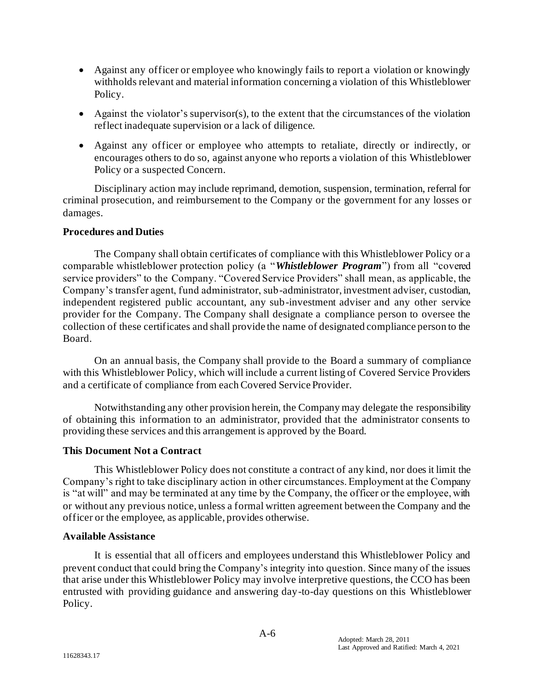- Against any officer or employee who knowingly fails to report a violation or knowingly withholds relevant and material information concerning a violation of this Whistleblower Policy.
- Against the violator's supervisor(s), to the extent that the circumstances of the violation reflect inadequate supervision or a lack of diligence.
- Against any officer or employee who attempts to retaliate, directly or indirectly, or encourages others to do so, against anyone who reports a violation of this Whistleblower Policy or a suspected Concern.

Disciplinary action may include reprimand, demotion, suspension, termination, referral for criminal prosecution, and reimbursement to the Company or the government for any losses or damages.

## **Procedures and Duties**

The Company shall obtain certificates of compliance with this Whistleblower Policy or a comparable whistleblower protection policy (a "*Whistleblower Program*") from all "covered service providers" to the Company. "Covered Service Providers" shall mean, as applicable, the Company's transfer agent, fund administrator, sub-administrator, investment adviser, custodian, independent registered public accountant, any sub-investment adviser and any other service provider for the Company. The Company shall designate a compliance person to oversee the collection of these certificates and shall provide the name of designated compliance person to the Board.

On an annual basis, the Company shall provide to the Board a summary of compliance with this Whistleblower Policy, which will include a current listing of Covered Service Providers and a certificate of compliance from each Covered Service Provider.

Notwithstanding any other provision herein, the Company may delegate the responsibility of obtaining this information to an administrator, provided that the administrator consents to providing these services and this arrangement is approved by the Board.

# **This Document Not a Contract**

This Whistleblower Policy does not constitute a contract of any kind, nor does it limit the Company's right to take disciplinary action in other circumstances. Employment at the Company is "at will" and may be terminated at any time by the Company, the officer or the employee, with or without any previous notice, unless a formal written agreement between the Company and the officer or the employee, as applicable, provides otherwise.

### **Available Assistance**

It is essential that all officers and employees understand this Whistleblower Policy and prevent conduct that could bring the Company's integrity into question. Since many of the issues that arise under this Whistleblower Policy may involve interpretive questions, the CCO has been entrusted with providing guidance and answering day-to-day questions on this Whistleblower Policy.